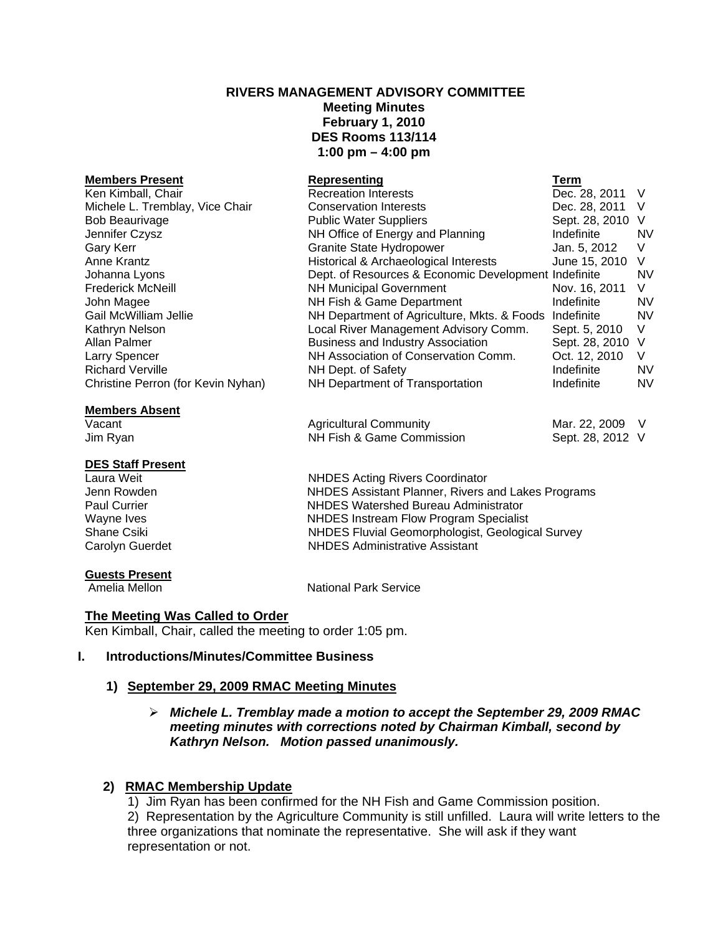# **RIVERS MANAGEMENT ADVISORY COMMITTEE Meeting Minutes February 1, 2010 DES Rooms 113/114 1:00 pm – 4:00 pm**

| <b>Members Present</b>             | Representing                                           | Term             |           |
|------------------------------------|--------------------------------------------------------|------------------|-----------|
| Ken Kimball, Chair                 | <b>Recreation Interests</b>                            | Dec. 28, 2011 V  |           |
| Michele L. Tremblay, Vice Chair    | <b>Conservation Interests</b>                          | Dec. 28, 2011 V  |           |
| <b>Bob Beaurivage</b>              | <b>Public Water Suppliers</b>                          | Sept. 28, 2010 V |           |
| Jennifer Czysz                     | NH Office of Energy and Planning                       | Indefinite       | <b>NV</b> |
| Gary Kerr                          | Granite State Hydropower                               | Jan. 5, 2012     | V         |
| Anne Krantz                        | Historical & Archaeological Interests                  | June 15, 2010    | V         |
| Johanna Lyons                      | Dept. of Resources & Economic Development Indefinite   |                  | NV.       |
| Frederick McNeill                  | <b>NH Municipal Government</b>                         | Nov. 16, 2011    | V         |
| John Magee                         | NH Fish & Game Department                              | Indefinite       | NV.       |
| Gail McWilliam Jellie              | NH Department of Agriculture, Mkts. & Foods Indefinite |                  | <b>NV</b> |
| Kathryn Nelson                     | Local River Management Advisory Comm.                  | Sept. 5, 2010    | V         |
| Allan Palmer                       | <b>Business and Industry Association</b>               | Sept. 28, 2010 V |           |
| Larry Spencer                      | NH Association of Conservation Comm.                   | Oct. 12, 2010    | V         |
| <b>Richard Verville</b>            | NH Dept. of Safety                                     | Indefinite       | NV.       |
| Christine Perron (for Kevin Nyhan) | NH Department of Transportation                        | Indefinite       | <b>NV</b> |
|                                    |                                                        |                  |           |

#### **Members Absent**

# **DES Staff Present**

# **Guests Present**<br>Amelia Mellon

Vacant **Agricultural Community** Mar. 22, 2009 V Jim Ryan NH Fish & Game Commission Sept. 28, 2012 V

**NHDES Acting Rivers Coordinator** Jenn Rowden **NHDES Assistant Planner, Rivers and Lakes Programs**<br> **NHDES Watershed Bureau Administrator** NHDES Watershed Bureau Administrator Wayne Ives **NHDES** Instream Flow Program Specialist Shane Csiki NHDES Fluvial Geomorphologist, Geological Survey Carolyn Guerdet **NHDES** Administrative Assistant

**National Park Service** 

# **The Meeting Was Called to Order**

Ken Kimball, Chair, called the meeting to order 1:05 pm.

# **I. Introductions/Minutes/Committee Business**

# **1) September 29, 2009 RMAC Meeting Minutes**

# ¾ *Michele L. Tremblay made a motion to accept the September 29, 2009 RMAC meeting minutes with corrections noted by Chairman Kimball, second by Kathryn Nelson. Motion passed unanimously.*

# **2) RMAC Membership Update**

 1) Jim Ryan has been confirmed for the NH Fish and Game Commission position. 2) Representation by the Agriculture Community is still unfilled. Laura will write letters to the three organizations that nominate the representative. She will ask if they want representation or not.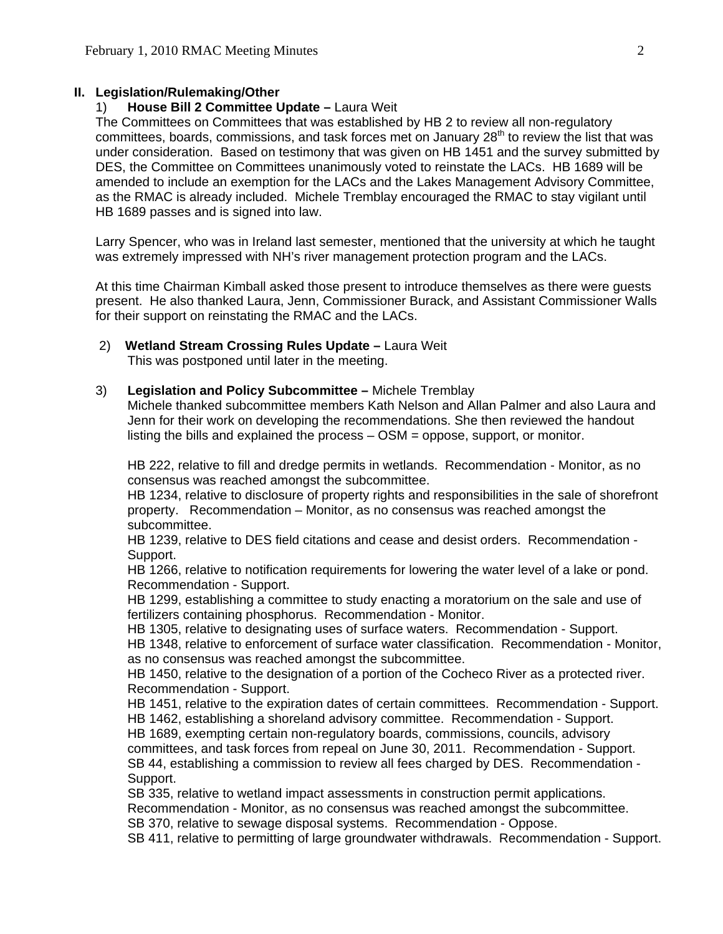## **II. Legislation/Rulemaking/Other**

## 1) **House Bill 2 Committee Update –** Laura Weit

The Committees on Committees that was established by HB 2 to review all non-regulatory committees, boards, commissions, and task forces met on January 28<sup>th</sup> to review the list that was under consideration. Based on testimony that was given on HB 1451 and the survey submitted by DES, the Committee on Committees unanimously voted to reinstate the LACs. HB 1689 will be amended to include an exemption for the LACs and the Lakes Management Advisory Committee, as the RMAC is already included. Michele Tremblay encouraged the RMAC to stay vigilant until HB 1689 passes and is signed into law.

Larry Spencer, who was in Ireland last semester, mentioned that the university at which he taught was extremely impressed with NH's river management protection program and the LACs.

At this time Chairman Kimball asked those present to introduce themselves as there were guests present. He also thanked Laura, Jenn, Commissioner Burack, and Assistant Commissioner Walls for their support on reinstating the RMAC and the LACs.

- 2) **Wetland Stream Crossing Rules Update** Laura Weit This was postponed until later in the meeting.
- 3) **Legislation and Policy Subcommittee** Michele Tremblay

 Michele thanked subcommittee members Kath Nelson and Allan Palmer and also Laura and Jenn for their work on developing the recommendations. She then reviewed the handout listing the bills and explained the process – OSM = oppose, support, or monitor.

HB 222, relative to fill and dredge permits in wetlands. Recommendation - Monitor, as no consensus was reached amongst the subcommittee.

HB 1234, relative to disclosure of property rights and responsibilities in the sale of shorefront property. Recommendation – Monitor, as no consensus was reached amongst the subcommittee.

HB 1239, relative to DES field citations and cease and desist orders. Recommendation - Support.

HB 1266, relative to notification requirements for lowering the water level of a lake or pond. Recommendation - Support.

HB 1299, establishing a committee to study enacting a moratorium on the sale and use of fertilizers containing phosphorus. Recommendation - Monitor.

HB 1305, relative to designating uses of surface waters. Recommendation - Support. HB 1348, relative to enforcement of surface water classification. Recommendation - Monitor, as no consensus was reached amongst the subcommittee.

HB 1450, relative to the designation of a portion of the Cocheco River as a protected river. Recommendation - Support.

HB 1451, relative to the expiration dates of certain committees. Recommendation - Support. HB 1462, establishing a shoreland advisory committee. Recommendation - Support.

HB 1689, exempting certain non-regulatory boards, commissions, councils, advisory committees, and task forces from repeal on June 30, 2011. Recommendation - Support. SB 44, establishing a commission to review all fees charged by DES. Recommendation - Support.

SB 335, relative to wetland impact assessments in construction permit applications.

Recommendation - Monitor, as no consensus was reached amongst the subcommittee.

SB 370, relative to sewage disposal systems. Recommendation - Oppose.

SB 411, relative to permitting of large groundwater withdrawals. Recommendation - Support.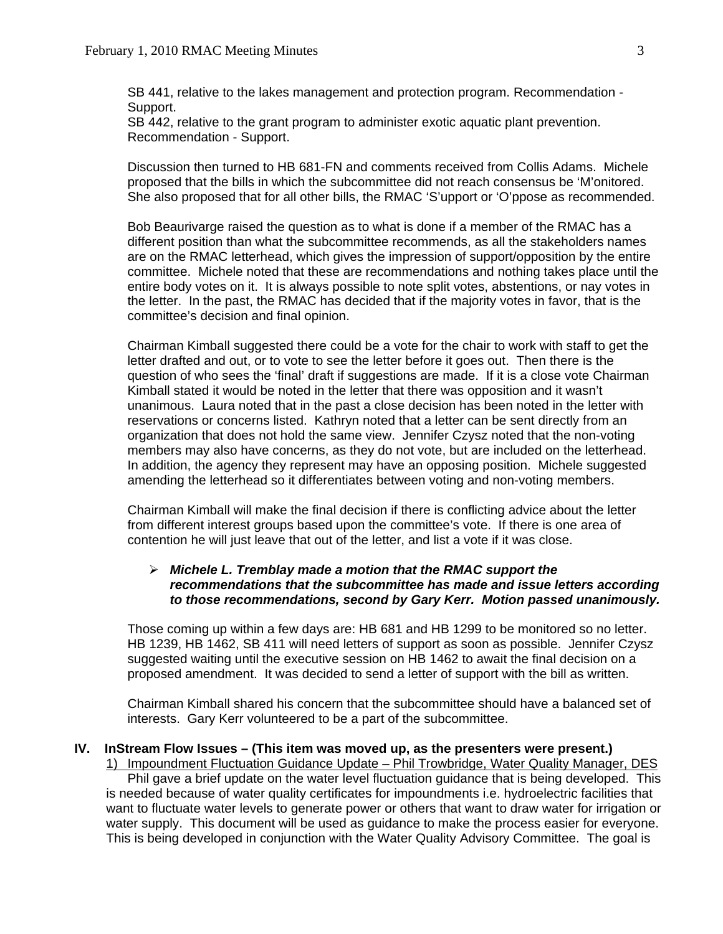SB 441, relative to the lakes management and protection program. Recommendation - Support.

SB 442, relative to the grant program to administer exotic aquatic plant prevention. Recommendation - Support.

 Discussion then turned to HB 681-FN and comments received from Collis Adams. Michele proposed that the bills in which the subcommittee did not reach consensus be 'M'onitored. She also proposed that for all other bills, the RMAC 'S'upport or 'O'ppose as recommended.

 Bob Beaurivarge raised the question as to what is done if a member of the RMAC has a different position than what the subcommittee recommends, as all the stakeholders names are on the RMAC letterhead, which gives the impression of support/opposition by the entire committee. Michele noted that these are recommendations and nothing takes place until the entire body votes on it. It is always possible to note split votes, abstentions, or nay votes in the letter. In the past, the RMAC has decided that if the majority votes in favor, that is the committee's decision and final opinion.

 Chairman Kimball suggested there could be a vote for the chair to work with staff to get the letter drafted and out, or to vote to see the letter before it goes out. Then there is the question of who sees the 'final' draft if suggestions are made. If it is a close vote Chairman Kimball stated it would be noted in the letter that there was opposition and it wasn't unanimous. Laura noted that in the past a close decision has been noted in the letter with reservations or concerns listed. Kathryn noted that a letter can be sent directly from an organization that does not hold the same view. Jennifer Czysz noted that the non-voting members may also have concerns, as they do not vote, but are included on the letterhead. In addition, the agency they represent may have an opposing position. Michele suggested amending the letterhead so it differentiates between voting and non-voting members.

 Chairman Kimball will make the final decision if there is conflicting advice about the letter from different interest groups based upon the committee's vote. If there is one area of contention he will just leave that out of the letter, and list a vote if it was close.

# ¾ *Michele L. Tremblay made a motion that the RMAC support the recommendations that the subcommittee has made and issue letters according to those recommendations, second by Gary Kerr. Motion passed unanimously.*

 Those coming up within a few days are: HB 681 and HB 1299 to be monitored so no letter. HB 1239, HB 1462, SB 411 will need letters of support as soon as possible. Jennifer Czysz suggested waiting until the executive session on HB 1462 to await the final decision on a proposed amendment. It was decided to send a letter of support with the bill as written.

 Chairman Kimball shared his concern that the subcommittee should have a balanced set of interests. Gary Kerr volunteered to be a part of the subcommittee.

# **IV. InStream Flow Issues – (This item was moved up, as the presenters were present.)**

1) Impoundment Fluctuation Guidance Update - Phil Trowbridge, Water Quality Manager, DES Phil gave a brief update on the water level fluctuation guidance that is being developed. This is needed because of water quality certificates for impoundments i.e. hydroelectric facilities that want to fluctuate water levels to generate power or others that want to draw water for irrigation or water supply. This document will be used as guidance to make the process easier for everyone. This is being developed in conjunction with the Water Quality Advisory Committee. The goal is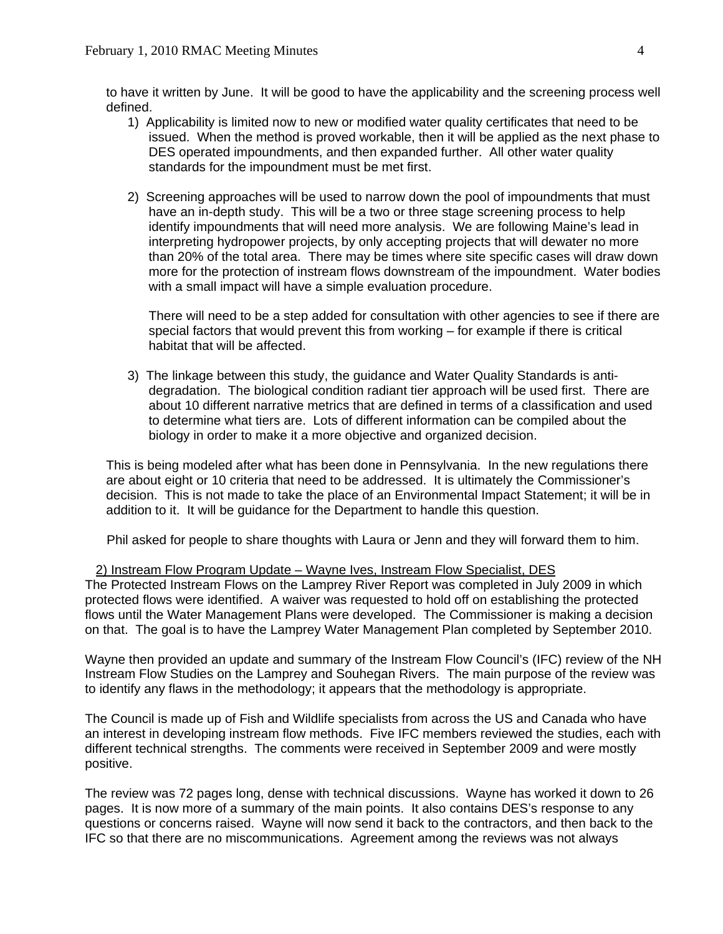to have it written by June. It will be good to have the applicability and the screening process well defined.

- 1) Applicability is limited now to new or modified water quality certificates that need to be issued. When the method is proved workable, then it will be applied as the next phase to DES operated impoundments, and then expanded further. All other water quality standards for the impoundment must be met first.
- 2) Screening approaches will be used to narrow down the pool of impoundments that must have an in-depth study. This will be a two or three stage screening process to help identify impoundments that will need more analysis. We are following Maine's lead in interpreting hydropower projects, by only accepting projects that will dewater no more than 20% of the total area. There may be times where site specific cases will draw down more for the protection of instream flows downstream of the impoundment. Water bodies with a small impact will have a simple evaluation procedure.

 There will need to be a step added for consultation with other agencies to see if there are special factors that would prevent this from working – for example if there is critical habitat that will be affected.

3) The linkage between this study, the guidance and Water Quality Standards is antidegradation. The biological condition radiant tier approach will be used first. There are about 10 different narrative metrics that are defined in terms of a classification and used to determine what tiers are. Lots of different information can be compiled about the biology in order to make it a more objective and organized decision.

This is being modeled after what has been done in Pennsylvania. In the new regulations there are about eight or 10 criteria that need to be addressed. It is ultimately the Commissioner's decision. This is not made to take the place of an Environmental Impact Statement; it will be in addition to it. It will be guidance for the Department to handle this question.

Phil asked for people to share thoughts with Laura or Jenn and they will forward them to him.

#### 2) Instream Flow Program Update – Wayne Ives, Instream Flow Specialist, DES

The Protected Instream Flows on the Lamprey River Report was completed in July 2009 in which protected flows were identified. A waiver was requested to hold off on establishing the protected flows until the Water Management Plans were developed. The Commissioner is making a decision on that. The goal is to have the Lamprey Water Management Plan completed by September 2010.

Wayne then provided an update and summary of the Instream Flow Council's (IFC) review of the NH Instream Flow Studies on the Lamprey and Souhegan Rivers. The main purpose of the review was to identify any flaws in the methodology; it appears that the methodology is appropriate.

The Council is made up of Fish and Wildlife specialists from across the US and Canada who have an interest in developing instream flow methods. Five IFC members reviewed the studies, each with different technical strengths. The comments were received in September 2009 and were mostly positive.

The review was 72 pages long, dense with technical discussions. Wayne has worked it down to 26 pages. It is now more of a summary of the main points. It also contains DES's response to any questions or concerns raised. Wayne will now send it back to the contractors, and then back to the IFC so that there are no miscommunications. Agreement among the reviews was not always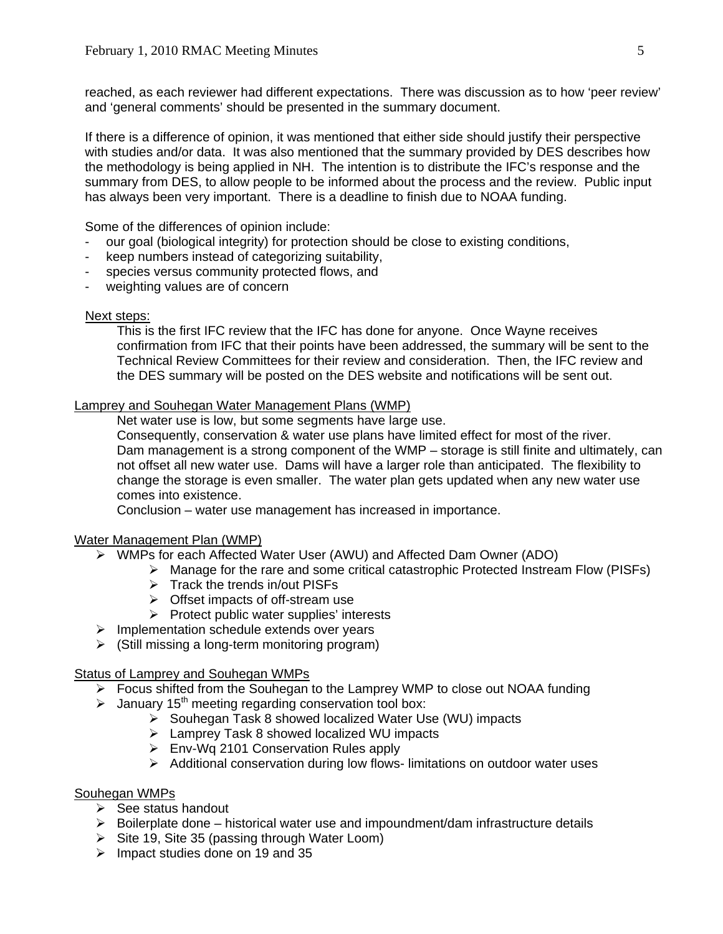reached, as each reviewer had different expectations. There was discussion as to how 'peer review' and 'general comments' should be presented in the summary document.

If there is a difference of opinion, it was mentioned that either side should justify their perspective with studies and/or data. It was also mentioned that the summary provided by DES describes how the methodology is being applied in NH. The intention is to distribute the IFC's response and the summary from DES, to allow people to be informed about the process and the review. Public input has always been very important. There is a deadline to finish due to NOAA funding.

Some of the differences of opinion include:

- our goal (biological integrity) for protection should be close to existing conditions,
- keep numbers instead of categorizing suitability,
- species versus community protected flows, and
- weighting values are of concern

# Next steps:

 This is the first IFC review that the IFC has done for anyone. Once Wayne receives confirmation from IFC that their points have been addressed, the summary will be sent to the Technical Review Committees for their review and consideration. Then, the IFC review and the DES summary will be posted on the DES website and notifications will be sent out.

# Lamprey and Souhegan Water Management Plans (WMP)

Net water use is low, but some segments have large use.

 Consequently, conservation & water use plans have limited effect for most of the river. Dam management is a strong component of the WMP – storage is still finite and ultimately, can not offset all new water use. Dams will have a larger role than anticipated. The flexibility to change the storage is even smaller. The water plan gets updated when any new water use comes into existence.

Conclusion – water use management has increased in importance.

# Water Management Plan (WMP)

- ¾ WMPs for each Affected Water User (AWU) and Affected Dam Owner (ADO)
	- $\triangleright$  Manage for the rare and some critical catastrophic Protected Instream Flow (PISFs)
	- $\triangleright$  Track the trends in/out PISFs
	- $\triangleright$  Offset impacts of off-stream use
	- $\triangleright$  Protect public water supplies' interests
- $\triangleright$  Implementation schedule extends over years
- $\triangleright$  (Still missing a long-term monitoring program)

# Status of Lamprey and Souhegan WMPs

- $\triangleright$  Focus shifted from the Souhegan to the Lamprey WMP to close out NOAA funding
- $\blacktriangleright$  January 15<sup>th</sup> meeting regarding conservation tool box:
	- ¾ Souhegan Task 8 showed localized Water Use (WU) impacts
	- ¾ Lamprey Task 8 showed localized WU impacts
	- $\triangleright$  Env-Wq 2101 Conservation Rules apply
	- ¾ Additional conservation during low flows- limitations on outdoor water uses

# Souhegan WMPs

- $\triangleright$  See status handout
- $\triangleright$  Boilerplate done historical water use and impoundment/dam infrastructure details
- $\triangleright$  Site 19, Site 35 (passing through Water Loom)
- $\triangleright$  Impact studies done on 19 and 35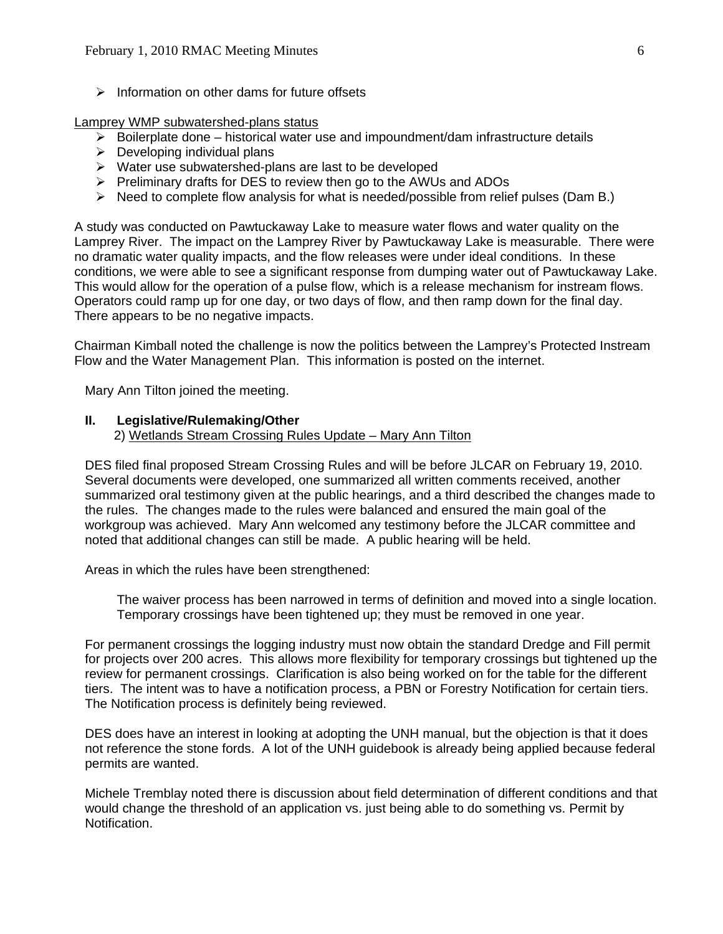$\triangleright$  Information on other dams for future offsets

Lamprey WMP subwatershed-plans status

- $\triangleright$  Boilerplate done historical water use and impoundment/dam infrastructure details
- $\triangleright$  Developing individual plans
- ¾ Water use subwatershed-plans are last to be developed
- $\triangleright$  Preliminary drafts for DES to review then go to the AWUs and ADOs
- $\triangleright$  Need to complete flow analysis for what is needed/possible from relief pulses (Dam B.)

A study was conducted on Pawtuckaway Lake to measure water flows and water quality on the Lamprey River. The impact on the Lamprey River by Pawtuckaway Lake is measurable. There were no dramatic water quality impacts, and the flow releases were under ideal conditions. In these conditions, we were able to see a significant response from dumping water out of Pawtuckaway Lake. This would allow for the operation of a pulse flow, which is a release mechanism for instream flows. Operators could ramp up for one day, or two days of flow, and then ramp down for the final day. There appears to be no negative impacts.

Chairman Kimball noted the challenge is now the politics between the Lamprey's Protected Instream Flow and the Water Management Plan. This information is posted on the internet.

Mary Ann Tilton joined the meeting.

#### **II. Legislative/Rulemaking/Other**

2) Wetlands Stream Crossing Rules Update – Mary Ann Tilton

DES filed final proposed Stream Crossing Rules and will be before JLCAR on February 19, 2010. Several documents were developed, one summarized all written comments received, another summarized oral testimony given at the public hearings, and a third described the changes made to the rules. The changes made to the rules were balanced and ensured the main goal of the workgroup was achieved. Mary Ann welcomed any testimony before the JLCAR committee and noted that additional changes can still be made. A public hearing will be held.

Areas in which the rules have been strengthened:

 The waiver process has been narrowed in terms of definition and moved into a single location. Temporary crossings have been tightened up; they must be removed in one year.

For permanent crossings the logging industry must now obtain the standard Dredge and Fill permit for projects over 200 acres. This allows more flexibility for temporary crossings but tightened up the review for permanent crossings. Clarification is also being worked on for the table for the different tiers. The intent was to have a notification process, a PBN or Forestry Notification for certain tiers. The Notification process is definitely being reviewed.

DES does have an interest in looking at adopting the UNH manual, but the objection is that it does not reference the stone fords. A lot of the UNH guidebook is already being applied because federal permits are wanted.

Michele Tremblay noted there is discussion about field determination of different conditions and that would change the threshold of an application vs. just being able to do something vs. Permit by Notification.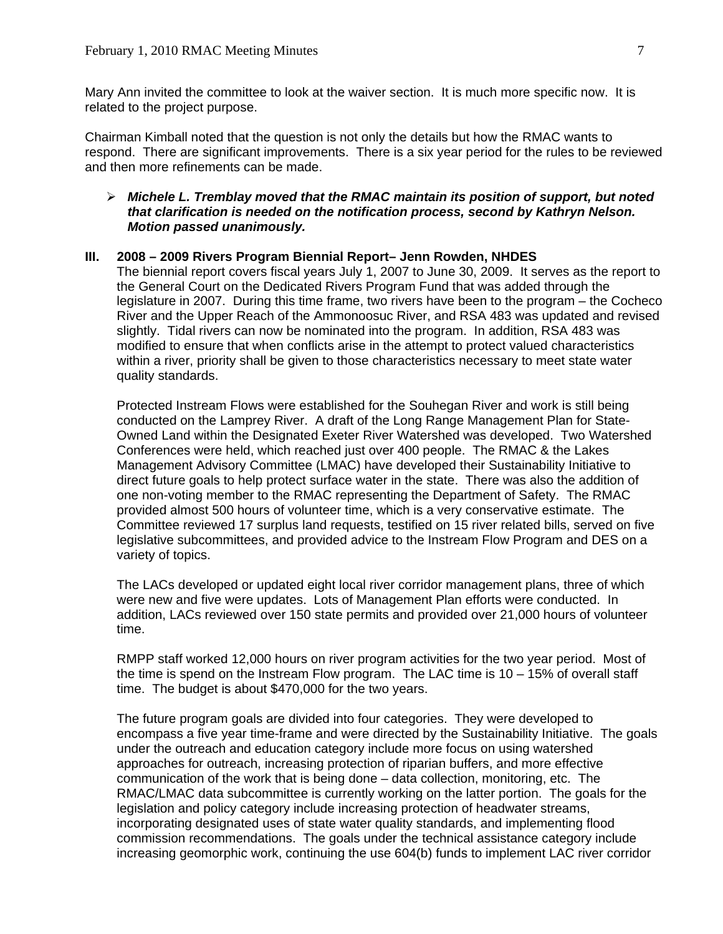Mary Ann invited the committee to look at the waiver section. It is much more specific now. It is related to the project purpose.

Chairman Kimball noted that the question is not only the details but how the RMAC wants to respond. There are significant improvements. There is a six year period for the rules to be reviewed and then more refinements can be made.

# ¾ *Michele L. Tremblay moved that the RMAC maintain its position of support, but noted that clarification is needed on the notification process, second by Kathryn Nelson. Motion passed unanimously.*

## **III. 2008 – 2009 Rivers Program Biennial Report– Jenn Rowden, NHDES**

The biennial report covers fiscal years July 1, 2007 to June 30, 2009. It serves as the report to the General Court on the Dedicated Rivers Program Fund that was added through the legislature in 2007. During this time frame, two rivers have been to the program – the Cocheco River and the Upper Reach of the Ammonoosuc River, and RSA 483 was updated and revised slightly. Tidal rivers can now be nominated into the program. In addition, RSA 483 was modified to ensure that when conflicts arise in the attempt to protect valued characteristics within a river, priority shall be given to those characteristics necessary to meet state water quality standards.

Protected Instream Flows were established for the Souhegan River and work is still being conducted on the Lamprey River. A draft of the Long Range Management Plan for State-Owned Land within the Designated Exeter River Watershed was developed. Two Watershed Conferences were held, which reached just over 400 people. The RMAC & the Lakes Management Advisory Committee (LMAC) have developed their Sustainability Initiative to direct future goals to help protect surface water in the state. There was also the addition of one non-voting member to the RMAC representing the Department of Safety. The RMAC provided almost 500 hours of volunteer time, which is a very conservative estimate. The Committee reviewed 17 surplus land requests, testified on 15 river related bills, served on five legislative subcommittees, and provided advice to the Instream Flow Program and DES on a variety of topics.

The LACs developed or updated eight local river corridor management plans, three of which were new and five were updates. Lots of Management Plan efforts were conducted. In addition, LACs reviewed over 150 state permits and provided over 21,000 hours of volunteer time.

RMPP staff worked 12,000 hours on river program activities for the two year period. Most of the time is spend on the Instream Flow program. The LAC time is  $10 - 15\%$  of overall staff time. The budget is about \$470,000 for the two years.

The future program goals are divided into four categories. They were developed to encompass a five year time-frame and were directed by the Sustainability Initiative. The goals under the outreach and education category include more focus on using watershed approaches for outreach, increasing protection of riparian buffers, and more effective communication of the work that is being done – data collection, monitoring, etc. The RMAC/LMAC data subcommittee is currently working on the latter portion. The goals for the legislation and policy category include increasing protection of headwater streams, incorporating designated uses of state water quality standards, and implementing flood commission recommendations. The goals under the technical assistance category include increasing geomorphic work, continuing the use 604(b) funds to implement LAC river corridor